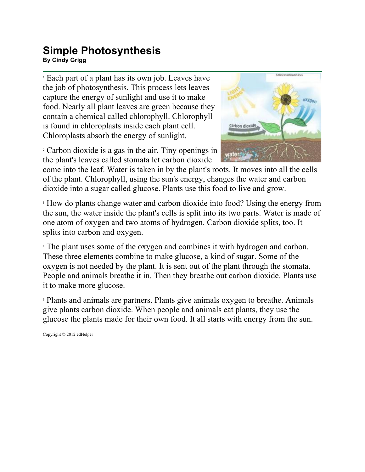## **Simple Photosynthesis**

**By Cindy Grigg**

<sup>1</sup> Each part of a plant has its own job. Leaves have the job of photosynthesis. This process lets leaves capture the energy of sunlight and use it to make food. Nearly all plant leaves are green because they contain a chemical called chlorophyll. Chlorophyll is found in chloroplasts inside each plant cell. Chloroplasts absorb the energy of sunlight.

<sup>2</sup> Carbon dioxide is a gas in the air. Tiny openings in the plant's leaves called stomata let carbon dioxide



come into the leaf. Water is taken in by the plant's roots. It moves into all the cells of the plant. Chlorophyll, using the sun's energy, changes the water and carbon dioxide into a sugar called glucose. Plants use this food to live and grow.

<sup>3</sup> How do plants change water and carbon dioxide into food? Using the energy from the sun, the water inside the plant's cells is split into its two parts. Water is made of one atom of oxygen and two atoms of hydrogen. Carbon dioxide splits, too. It splits into carbon and oxygen.

<sup>4</sup> The plant uses some of the oxygen and combines it with hydrogen and carbon. These three elements combine to make glucose, a kind of sugar. Some of the oxygen is not needed by the plant. It is sent out of the plant through the stomata. People and animals breathe it in. Then they breathe out carbon dioxide. Plants use it to make more glucose.

<sup>5</sup> Plants and animals are partners. Plants give animals oxygen to breathe. Animals give plants carbon dioxide. When people and animals eat plants, they use the glucose the plants made for their own food. It all starts with energy from the sun.

Copyright © 2012 edHelper